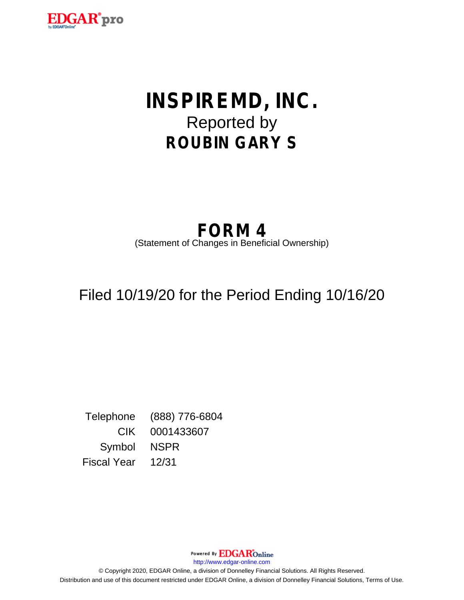

# **INSPIREMD, INC.** Reported by **ROUBIN GARY S**

## **FORM 4** (Statement of Changes in Beneficial Ownership)

# Filed 10/19/20 for the Period Ending 10/16/20

Telephone (888) 776-6804 CIK 0001433607 Symbol NSPR Fiscal Year 12/31

> Powered By **EDGAR**Online http://www.edgar-online.com

© Copyright 2020, EDGAR Online, a division of Donnelley Financial Solutions. All Rights Reserved. Distribution and use of this document restricted under EDGAR Online, a division of Donnelley Financial Solutions, Terms of Use.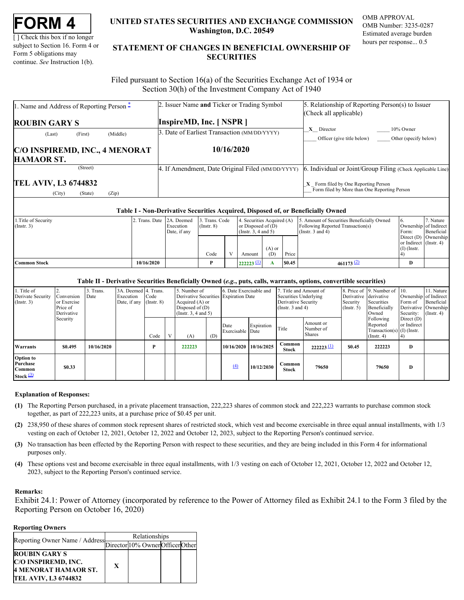| <b>FORM</b> |  |
|-------------|--|
|-------------|--|

[ ] Check this box if no longer subject to Section 16. Form 4 or Form 5 obligations may continue. *See* Instruction 1(b).

### **UNITED STATES SECURITIES AND EXCHANGE COMMISSION OMB APPROVAL Washington, D.C. 20549**

OMB Number: 3235-0287 Estimated average burden hours per response... 0.5

## **UNITED STATES SECURITIES AND EXCHANGE COMMISSION**<br>
UNITED STATES SECURITIES AND EXCHANGE COMMISSION<br>
UNERSITY OF SUBJECT AND THE STATEMENT OF CHANGES IN BENEFICIAL OWNERSHIP OF<br>
Form 5 obligations may<br>
continue. See Instr **STATEMENT OF CHANGES IN BENEFICIAL OWNERSHIP OF SECURITIES** TATES SECURITIES AND EXCHANGE COMMISSION OMB APPROVAL<br>Washington, D.C. 20549<br>Estimated average burden<br>ENT OF CHANGES IN BENEFICIAL OWNERSHIP OF<br>SECURITIES

 Filed pursuant to Section 16(a) of the Securities Exchange Act of 1934 or Section 30(h) of the Investment Company Act of 1940

| 1. Name and Address of Reporting Person $\hat{-}$         | 2. Issuer Name and Ticker or Trading Symbol       | 5. Relationship of Reporting Person(s) to Issuer                                       |
|-----------------------------------------------------------|---------------------------------------------------|----------------------------------------------------------------------------------------|
| <b>ROUBIN GARY S</b>                                      | <b>InspireMD, Inc. [NSPR]</b>                     | (Check all applicable)                                                                 |
| (Middle)<br>(First)<br>(Last)                             | 3. Date of Earliest Transaction (MM/DD/YYYY)      | $X$ Director<br>10% Owner<br>Officer (give title below)<br>Other (specify below)       |
| C/O INSPIREMD, INC., 4 MENORAT<br><b>HAMAOR ST.</b>       | 10/16/2020                                        |                                                                                        |
| (Street)                                                  | 4. If Amendment, Date Original Filed (MM/DD/YYYY) | 6. Individual or Joint/Group Filing (Check Applicable Line)                            |
| <b>TEL AVIV, L3 6744832</b><br>(City)<br>(Zip)<br>(State) |                                                   | $X$ Form filed by One Reporting Person<br>Form filed by More than One Reporting Person |

### **Table I - Non-Derivative Securities Acquired, Disposed of, or Beneficially Owned**

| 1. Title of Security<br>$($ Instr. 3 $)$ | 2. Trans. Date 2A. Deemed | Execution<br>Date, if any | 3. Trans. Code<br>$($ Instr. $8)$ | 4. Securities Acquired (A)<br>or Disposed of $(D)$<br>(Insert. 3, 4 and 5) |                 |        | 5. Amount of Securities Beneficially Owned<br>Following Reported Transaction(s)<br>(Instr. $3$ and $4$ ) | - 6<br>Ownership of Indirect<br>Form:                             | 7. Nature<br><b>Beneficial</b> |
|------------------------------------------|---------------------------|---------------------------|-----------------------------------|----------------------------------------------------------------------------|-----------------|--------|----------------------------------------------------------------------------------------------------------|-------------------------------------------------------------------|--------------------------------|
|                                          |                           |                           | Code                              | Amount                                                                     | $(A)$ or<br>(D) | Price  |                                                                                                          | Direct $(D)$ Ownership<br>or Indirect (Instr. 4)<br>$(I)$ (Instr. |                                |
| <b>Common Stock</b>                      | 10/16/2020                |                           |                                   | $222223 \perp$                                                             |                 | \$0.45 | $461173$ (2)                                                                                             |                                                                   |                                |

### **Table II - Derivative Securities Beneficially Owned (***e.g.***, puts, calls, warrants, options, convertible securities)**

| Title of<br>Derivate Security<br>(Insert. 3)          | Conversion<br>or Exercise<br>Price of<br>Derivative | 3. Trans.<br>Date | 3A. Deemed 4. Trans.<br>Execution<br>Date, if any $[$ (Instr. 8) | Code |              | 5. Number of<br>Derivative Securities Expiration Date<br>Acquired (A) or<br>Disposed of $(D)$<br>(Instr. $3, 4$ and $5$ ) |     | 6. Date Exercisable and  |            | Securities Underlying<br>Derivative Security<br>(Instr. $3$ and $4$ ) | 7. Title and Amount of                  | Derivative<br>Security<br>$($ Instr. 5 $)$ | 8. Price of 9. Number of 10.<br>derivative<br>Securities<br>Beneficially<br>Owned | Ownership of Indirect<br>Form of<br>Derivative Ownership<br>Security: | 11. Nature<br>Beneficial<br>$($ Instr. 4 $)$ |
|-------------------------------------------------------|-----------------------------------------------------|-------------------|------------------------------------------------------------------|------|--------------|---------------------------------------------------------------------------------------------------------------------------|-----|--------------------------|------------|-----------------------------------------------------------------------|-----------------------------------------|--------------------------------------------|-----------------------------------------------------------------------------------|-----------------------------------------------------------------------|----------------------------------------------|
|                                                       | Security                                            |                   |                                                                  | Code | $\mathbf{v}$ | (A)                                                                                                                       | (D) | Date<br>Exercisable Date | Expiration | Title                                                                 | Amount or<br>Number of<br><b>Shares</b> |                                            | Following<br>Reported<br>Transaction(s) $(I)$ (Instr.<br>$($ Instr. 4 $)$         | Direct $(D)$<br>or Indirect                                           |                                              |
| Warrants                                              | \$0.495                                             | 10/16/2020        |                                                                  |      |              | 222223                                                                                                                    |     | 10/16/2020 10/16/2025    |            | Common<br><b>Stock</b>                                                | 222223                                  | \$0.45                                     | 222223                                                                            | D                                                                     |                                              |
| <b>Option to</b><br>Purchase<br>Common<br>Stock $(3)$ | \$0.33                                              |                   |                                                                  |      |              |                                                                                                                           |     | $\underline{(4)}$        | 10/12/2030 | Common<br><b>Stock</b>                                                | 79650                                   |                                            | 79650                                                                             | D                                                                     |                                              |

### **Explanation of Responses:**

- <span id="page-1-0"></span>**(1)** The Reporting Person purchased, in a private placement transaction, 222,223 shares of common stock and 222,223 warrants to purchase common stock together, as part of 222,223 units, at a purchase price of \$0.45 per unit.
- <span id="page-1-1"></span>**(2)** 238,950 of these shares of common stock represent shares of restricted stock, which vest and become exercisable in three equal annual installments, with 1/3 vesting on each of October 12, 2021, October 12, 2022 and October 12, 2023, subject to the Reporting Person's continued service.
- <span id="page-1-2"></span>**(3)** No transaction has been effected by the Reporting Person with respect to these securities, and they are being included in this Form 4 for informational purposes only.
- <span id="page-1-3"></span>**(4)** These options vest and become exercisable in three equal installments, with 1/3 vesting on each of October 12, 2021, October 12, 2022 and October 12, 2023, subject to the Reporting Person's continued service.

### **Remarks:**

Exhibit 24.1: Power of Attorney (incorporated by reference to the Power of Attorney filed as Exhibit 24.1 to the Form 3 filed by the Reporting Person on October 16, 2020)

**Reporting Owners**

| Reporting Owner Name / Address- | Relationships                    |  |
|---------------------------------|----------------------------------|--|
|                                 | Director 10% Owner Officer Other |  |
| <b>ROUBIN GARY S</b>            |                                  |  |
| C/O INSPIREMD, INC.             |                                  |  |
| <b>4 MENORAT HAMAOR ST.</b>     |                                  |  |
| TEL AVIV, L3 6744832            |                                  |  |